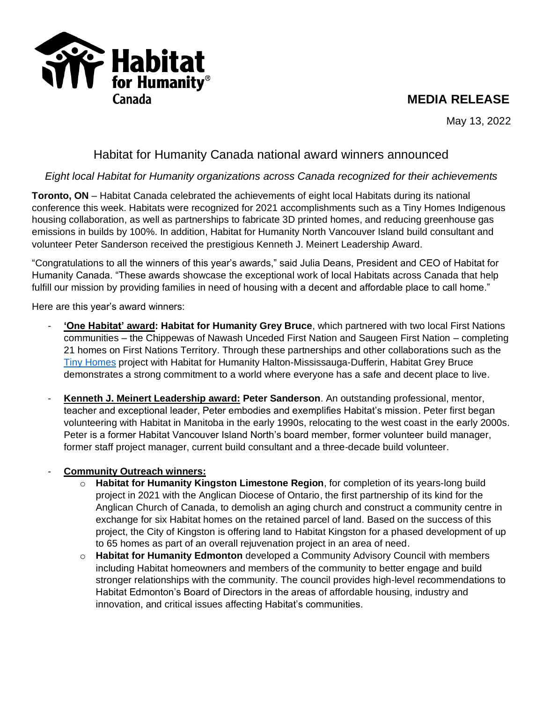# **MEDIA RELEASE**

**TYP** Habitat Canada

May 13, 2022

# Habitat for Humanity Canada national award winners announced

# *Eight local Habitat for Humanity organizations across Canada recognized for their achievements*

**Toronto, ON** – Habitat Canada celebrated the achievements of eight local Habitats during its national conference this week. Habitats were recognized for 2021 accomplishments such as a Tiny Homes Indigenous housing collaboration, as well as partnerships to fabricate 3D printed homes, and reducing greenhouse gas emissions in builds by 100%. In addition, Habitat for Humanity North Vancouver Island build consultant and volunteer Peter Sanderson received the prestigious Kenneth J. Meinert Leadership Award.

"Congratulations to all the winners of this year's awards," said Julia Deans, President and CEO of Habitat for Humanity Canada. "These awards showcase the exceptional work of local Habitats across Canada that help fulfill our mission by providing families in need of housing with a decent and affordable place to call home."

Here are this year's award winners:

- **'One Habitat' award: Habitat for Humanity Grey Bruce**, which partnered with two local First Nations communities – the Chippewas of Nawash Unceded First Nation and Saugeen First Nation – completing 21 homes on First Nations Territory. Through these partnerships and other collaborations such as the [Tiny Homes](https://habitathm.ca/tiny-homes/) project with Habitat for Humanity Halton-Mississauga-Dufferin, Habitat Grey Bruce demonstrates a strong commitment to a world where everyone has a safe and decent place to live.
- **Kenneth J. Meinert Leadership award: Peter Sanderson**. An outstanding professional, mentor, teacher and exceptional leader, Peter embodies and exemplifies Habitat's mission. Peter first began volunteering with Habitat in Manitoba in the early 1990s, relocating to the west coast in the early 2000s. Peter is a former Habitat Vancouver Island North's board member, former volunteer build manager, former staff project manager, current build consultant and a three-decade build volunteer.

### - **Community Outreach winners:**

- o **Habitat for Humanity Kingston Limestone Region**, for completion of its years-long build project in 2021 with the Anglican Diocese of Ontario, the first partnership of its kind for the Anglican Church of Canada, to demolish an aging church and construct a community centre in exchange for six Habitat homes on the retained parcel of land. Based on the success of this project, the City of Kingston is offering land to Habitat Kingston for a phased development of up to 65 homes as part of an overall rejuvenation project in an area of need.
- o **Habitat for Humanity Edmonton** developed a Community Advisory Council with members including Habitat homeowners and members of the community to better engage and build stronger relationships with the community. The council provides high-level recommendations to Habitat Edmonton's Board of Directors in the areas of affordable housing, industry and innovation, and critical issues affecting Habitat's communities.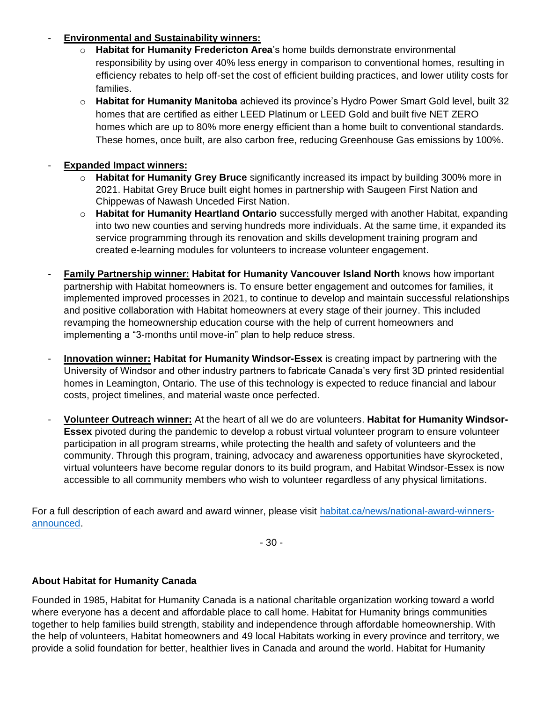#### - **Environmental and Sustainability winners:**

- o **Habitat for Humanity Fredericton Area**'s home builds demonstrate environmental responsibility by using over 40% less energy in comparison to conventional homes, resulting in efficiency rebates to help off-set the cost of efficient building practices, and lower utility costs for families.
- o **Habitat for Humanity Manitoba** achieved its province's Hydro Power Smart Gold level, built 32 homes that are certified as either LEED Platinum or LEED Gold and built five NET ZERO homes which are up to 80% more energy efficient than a home built to conventional standards. These homes, once built, are also carbon free, reducing Greenhouse Gas emissions by 100%.

## - **Expanded Impact winners:**

- o **Habitat for Humanity Grey Bruce** significantly increased its impact by building 300% more in 2021. Habitat Grey Bruce built eight homes in partnership with Saugeen First Nation and Chippewas of Nawash Unceded First Nation.
- o **Habitat for Humanity Heartland Ontario** successfully merged with another Habitat, expanding into two new counties and serving hundreds more individuals. At the same time, it expanded its service programming through its renovation and skills development training program and created e-learning modules for volunteers to increase volunteer engagement.
- **Family Partnership winner: Habitat for Humanity Vancouver Island North** knows how important partnership with Habitat homeowners is. To ensure better engagement and outcomes for families, it implemented improved processes in 2021, to continue to develop and maintain successful relationships and positive collaboration with Habitat homeowners at every stage of their journey. This included revamping the homeownership education course with the help of current homeowners and implementing a "3-months until move-in" plan to help reduce stress.
- **Innovation winner: Habitat for Humanity Windsor-Essex** is creating impact by partnering with the University of Windsor and other industry partners to fabricate Canada's very first 3D printed residential homes in Leamington, Ontario. The use of this technology is expected to reduce financial and labour costs, project timelines, and material waste once perfected.
- **Volunteer Outreach winner:** At the heart of all we do are volunteers. **Habitat for Humanity Windsor-Essex** pivoted during the pandemic to develop a robust virtual volunteer program to ensure volunteer participation in all program streams, while protecting the health and safety of volunteers and the community. Through this program, training, advocacy and awareness opportunities have skyrocketed, virtual volunteers have become regular donors to its build program, and Habitat Windsor-Essex is now accessible to all community members who wish to volunteer regardless of any physical limitations.

For a full description of each award and award winner, please visit [habitat.ca/news/national-award-winners](https://habitat.ca/en/news/national-award-winners-announced)[announced.](https://habitat.ca/en/news/national-award-winners-announced)

- 30 -

### **About Habitat for Humanity Canada**

Founded in 1985, Habitat for Humanity Canada is a national charitable organization working toward a world where everyone has a decent and affordable place to call home. Habitat for Humanity brings communities together to help families build strength, stability and independence through affordable homeownership. With the help of volunteers, Habitat homeowners and 49 local Habitats working in every province and territory, we provide a solid foundation for better, healthier lives in Canada and around the world. Habitat for Humanity